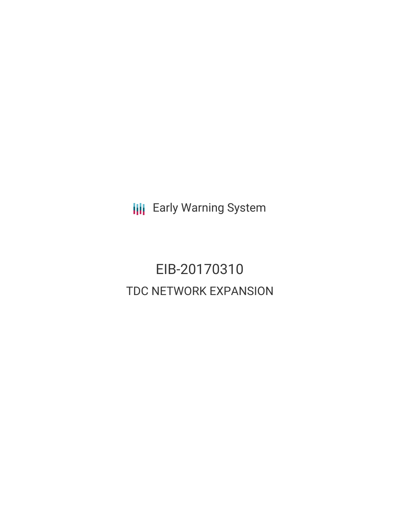**III** Early Warning System

EIB-20170310 TDC NETWORK EXPANSION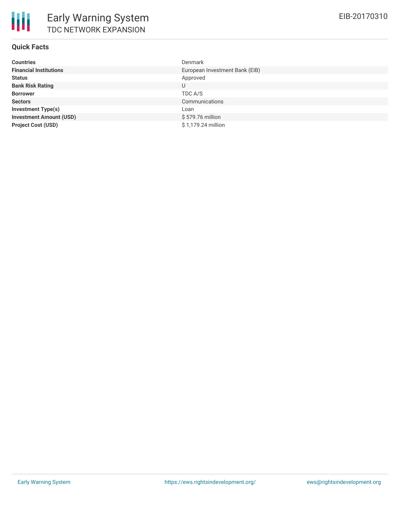### **Quick Facts**

| <b>Countries</b>               | <b>Denmark</b>                 |
|--------------------------------|--------------------------------|
| <b>Financial Institutions</b>  | European Investment Bank (EIB) |
| <b>Status</b>                  | Approved                       |
| <b>Bank Risk Rating</b>        | U                              |
| <b>Borrower</b>                | TDC A/S                        |
| <b>Sectors</b>                 | Communications                 |
| <b>Investment Type(s)</b>      | Loan                           |
| <b>Investment Amount (USD)</b> | \$579.76 million               |
| <b>Project Cost (USD)</b>      | \$1,179.24 million             |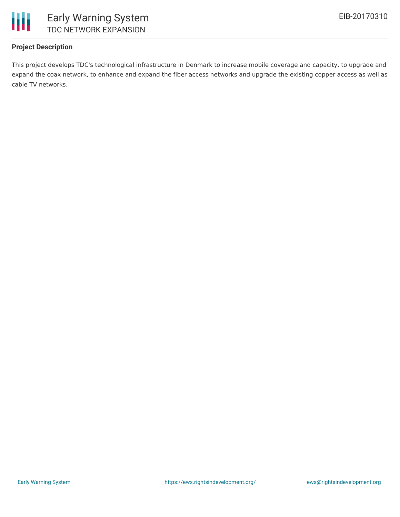

## **Project Description**

This project develops TDC's technological infrastructure in Denmark to increase mobile coverage and capacity, to upgrade and expand the coax network, to enhance and expand the fiber access networks and upgrade the existing copper access as well as cable TV networks.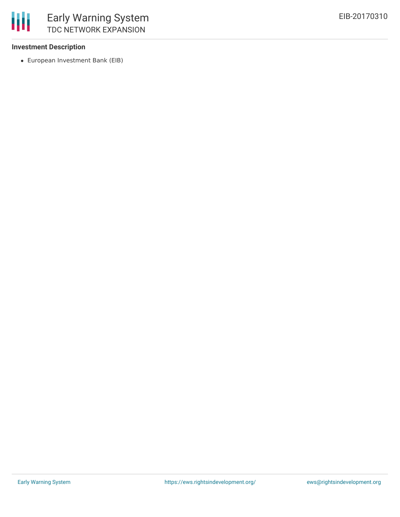#### **Investment Description**

European Investment Bank (EIB)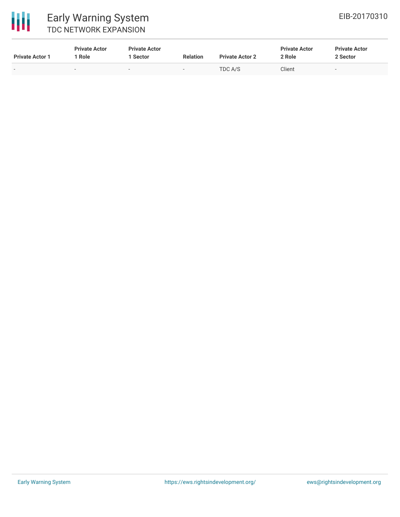

# Early Warning System TDC NETWORK EXPANSION

| <b>Private Actor 1</b>   | <b>Private Actor</b><br>Role | <b>Private Actor</b><br>Sector | <b>Relation</b>          | <b>Private Actor 2</b> | <b>Private Actor</b><br>2 Role | <b>Private Actor</b><br>2 Sector |
|--------------------------|------------------------------|--------------------------------|--------------------------|------------------------|--------------------------------|----------------------------------|
| $\overline{\phantom{0}}$ | $\overline{\phantom{a}}$     | $\overline{\phantom{0}}$       | $\overline{\phantom{0}}$ | TDC A/S                | Client                         | $\overline{\phantom{0}}$         |